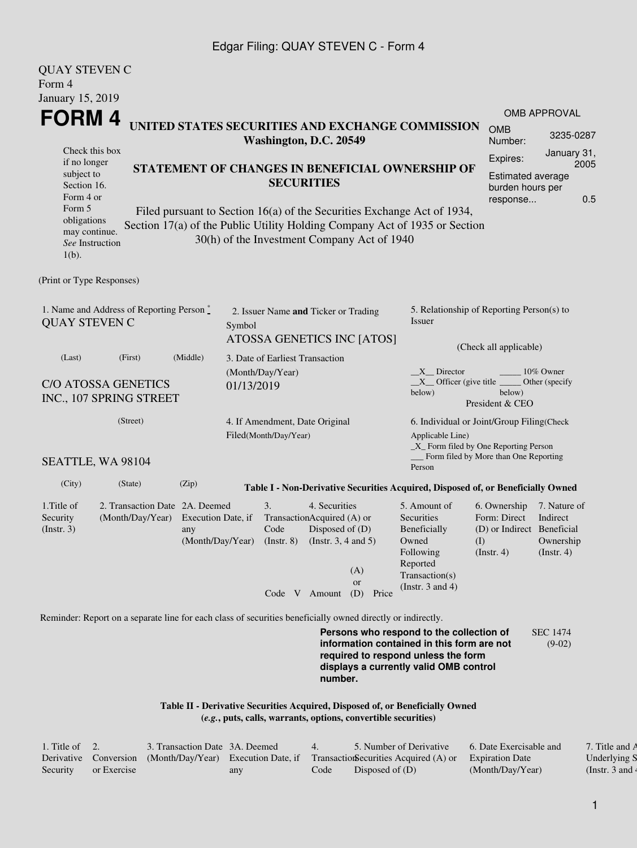#### Edgar Filing: QUAY STEVEN C - Form 4

| <b>QUAY STEVEN C</b><br>Form 4                                                                                                                                                                                                                                                                                |                                                                                                                   |                                                                              |                                                         |                                      |                                                                |                                                                                                         |                                                                                                                                                                         |                                                                                       |                                                           |  |  |
|---------------------------------------------------------------------------------------------------------------------------------------------------------------------------------------------------------------------------------------------------------------------------------------------------------------|-------------------------------------------------------------------------------------------------------------------|------------------------------------------------------------------------------|---------------------------------------------------------|--------------------------------------|----------------------------------------------------------------|---------------------------------------------------------------------------------------------------------|-------------------------------------------------------------------------------------------------------------------------------------------------------------------------|---------------------------------------------------------------------------------------|-----------------------------------------------------------|--|--|
| January 15, 2019                                                                                                                                                                                                                                                                                              |                                                                                                                   |                                                                              |                                                         |                                      |                                                                |                                                                                                         |                                                                                                                                                                         |                                                                                       |                                                           |  |  |
|                                                                                                                                                                                                                                                                                                               |                                                                                                                   |                                                                              |                                                         |                                      |                                                                |                                                                                                         |                                                                                                                                                                         |                                                                                       | <b>OMB APPROVAL</b>                                       |  |  |
| FORM 4<br>UNITED STATES SECURITIES AND EXCHANGE COMMISSION<br>Washington, D.C. 20549                                                                                                                                                                                                                          |                                                                                                                   |                                                                              |                                                         |                                      |                                                                |                                                                                                         |                                                                                                                                                                         |                                                                                       | 3235-0287                                                 |  |  |
| Check this box                                                                                                                                                                                                                                                                                                |                                                                                                                   |                                                                              |                                                         |                                      |                                                                |                                                                                                         |                                                                                                                                                                         | Expires:                                                                              | January 31,                                               |  |  |
|                                                                                                                                                                                                                                                                                                               | if no longer<br>STATEMENT OF CHANGES IN BENEFICIAL OWNERSHIP OF<br>subject to<br><b>SECURITIES</b><br>Section 16. |                                                                              |                                                         |                                      |                                                                |                                                                                                         |                                                                                                                                                                         |                                                                                       | 2005<br>Estimated average<br>burden hours per             |  |  |
| Form 4 or<br>0.5<br>response<br>Form 5<br>Filed pursuant to Section 16(a) of the Securities Exchange Act of 1934,<br>obligations<br>Section 17(a) of the Public Utility Holding Company Act of 1935 or Section<br>may continue.<br>30(h) of the Investment Company Act of 1940<br>See Instruction<br>$1(b)$ . |                                                                                                                   |                                                                              |                                                         |                                      |                                                                |                                                                                                         |                                                                                                                                                                         |                                                                                       |                                                           |  |  |
| (Print or Type Responses)                                                                                                                                                                                                                                                                                     |                                                                                                                   |                                                                              |                                                         |                                      |                                                                |                                                                                                         |                                                                                                                                                                         |                                                                                       |                                                           |  |  |
| 1. Name and Address of Reporting Person $\stackrel{*}{\mathbb{L}}$<br><b>QUAY STEVEN C</b>                                                                                                                                                                                                                    |                                                                                                                   |                                                                              | Symbol                                                  | 2. Issuer Name and Ticker or Trading |                                                                | ATOSSA GENETICS INC [ATOS]                                                                              | 5. Relationship of Reporting Person(s) to<br>Issuer                                                                                                                     |                                                                                       |                                                           |  |  |
| (Last)                                                                                                                                                                                                                                                                                                        | (First)                                                                                                           | (Middle)<br>3. Date of Earliest Transaction                                  |                                                         |                                      |                                                                |                                                                                                         | (Check all applicable)                                                                                                                                                  |                                                                                       |                                                           |  |  |
| C/O ATOSSA GENETICS<br>INC., 107 SPRING STREET                                                                                                                                                                                                                                                                |                                                                                                                   |                                                                              | (Month/Day/Year)<br>01/13/2019                          |                                      |                                                                |                                                                                                         | X Director<br>10% Owner<br>$X$ Officer (give title $\overline{\phantom{a}}$<br>Other (specify<br>below)<br>below)<br>President & CEO                                    |                                                                                       |                                                           |  |  |
| (Street)                                                                                                                                                                                                                                                                                                      |                                                                                                                   |                                                                              | 4. If Amendment, Date Original<br>Filed(Month/Day/Year) |                                      |                                                                | 6. Individual or Joint/Group Filing(Check<br>Applicable Line)<br>_X_ Form filed by One Reporting Person |                                                                                                                                                                         |                                                                                       |                                                           |  |  |
| SEATTLE, WA 98104                                                                                                                                                                                                                                                                                             |                                                                                                                   |                                                                              |                                                         |                                      |                                                                |                                                                                                         | Person                                                                                                                                                                  | Form filed by More than One Reporting                                                 |                                                           |  |  |
| (City)                                                                                                                                                                                                                                                                                                        | (State)                                                                                                           | (Zip)                                                                        |                                                         |                                      |                                                                |                                                                                                         | Table I - Non-Derivative Securities Acquired, Disposed of, or Beneficially Owned                                                                                        |                                                                                       |                                                           |  |  |
| 1. Title of<br>Security<br>$($ Instr. 3 $)$                                                                                                                                                                                                                                                                   | 2. Transaction Date 2A. Deemed<br>(Month/Day/Year)                                                                | Execution Date, if<br>any<br>(Month/Day/Year) (Instr. 8) (Instr. 3, 4 and 5) |                                                         | 3.<br>Code                           | 4. Securities<br>TransactionAcquired (A) or<br>Disposed of (D) | (A)                                                                                                     | 5. Amount of<br>Securities<br>Beneficially<br>Owned<br>Following<br>Reported<br>Transaction(s)                                                                          | 6. Ownership<br>Form: Direct<br>(D) or Indirect Beneficial<br>(I)<br>$($ Instr. 4 $)$ | 7. Nature of<br>Indirect<br>Ownership<br>$($ Instr. 4 $)$ |  |  |
|                                                                                                                                                                                                                                                                                                               |                                                                                                                   |                                                                              |                                                         |                                      | Code V Amount                                                  | <sub>or</sub><br>(D)<br>Price                                                                           | (Instr. $3$ and $4$ )                                                                                                                                                   |                                                                                       |                                                           |  |  |
|                                                                                                                                                                                                                                                                                                               | Reminder: Report on a separate line for each class of securities beneficially owned directly or indirectly.       |                                                                              |                                                         |                                      |                                                                |                                                                                                         |                                                                                                                                                                         |                                                                                       |                                                           |  |  |
|                                                                                                                                                                                                                                                                                                               |                                                                                                                   |                                                                              |                                                         |                                      | number.                                                        |                                                                                                         | Persons who respond to the collection of<br>information contained in this form are not<br>required to respond unless the form<br>displays a currently valid OMB control |                                                                                       | <b>SEC 1474</b><br>$(9-02)$                               |  |  |

**Table II - Derivative Securities Acquired, Disposed of, or Beneficially Owned (***e.g.***, puts, calls, warrants, options, convertible securities)**

| Title of $\,2.$ |                       | 3. Transaction Date 3A. Deemed |     |      | 5. Number of Derivative                                                      | 6. Date Exercisable and | 7. Title and A      |
|-----------------|-----------------------|--------------------------------|-----|------|------------------------------------------------------------------------------|-------------------------|---------------------|
|                 | Derivative Conversion |                                |     |      | (Month/Day/Year) Execution Date, if Transaction Securities Acquired $(A)$ or | <b>Expiration Date</b>  | Underlying S        |
| Security        | or Exercise           |                                | any | Code | Disposed of $(D)$                                                            | (Month/Day/Year)        | (Instr. $3$ and $4$ |